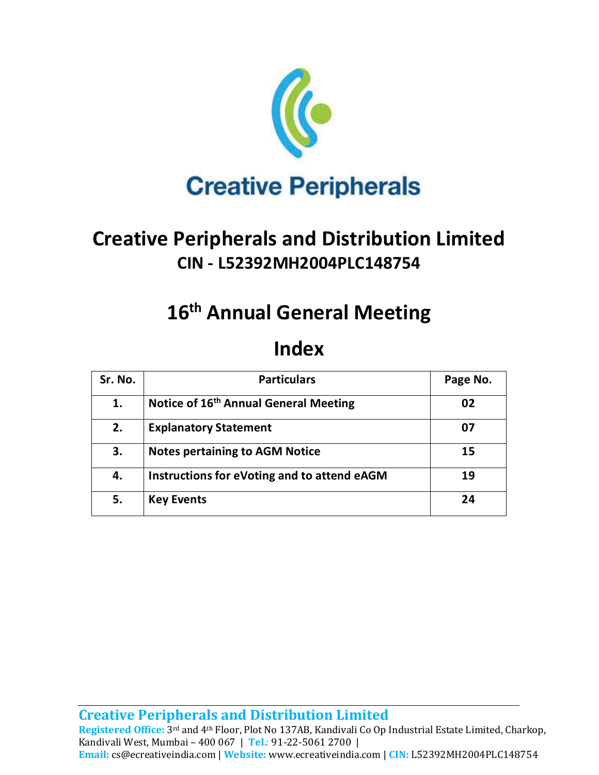

# **Creative Peripherals and Distribution Limited CIN - L52392MH2004PLC148754**

# **16th Annual General Meeting**

## **Index**

| Sr. No. | <b>Particulars</b>                                | Page No. |
|---------|---------------------------------------------------|----------|
| 1.      | Notice of 16 <sup>th</sup> Annual General Meeting | 02       |
| 2.      | <b>Explanatory Statement</b>                      | 07       |
| 3.      | <b>Notes pertaining to AGM Notice</b>             | 15       |
| 4.      | Instructions for eVoting and to attend eAGM       | 19       |
| 5.      | <b>Key Events</b>                                 | 24       |

**Creative Peripherals and Distribution Limited** 

Registered Office: 3<sup>rd</sup> and 4<sup>th</sup> Floor, Plot No 137AB, Kandivali Co Op Industrial Estate Limited, Charkop, Kandivali West, Mumbai – 400 067 | **Tel.**: 91-22-5061 2700 | **Email:** cs@ecreativeindia.com | **Website:** www.ecreativeindia.com | **CIN:** L52392MH2004PLC148754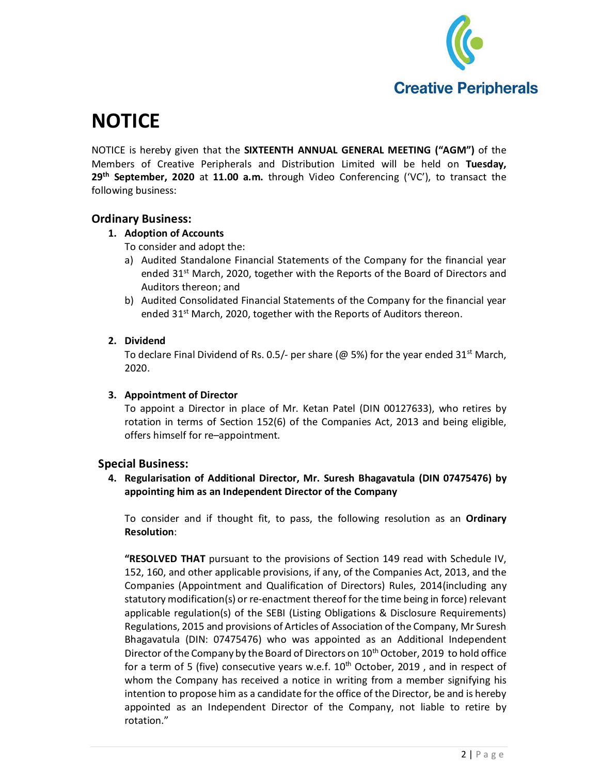

# **NOTICE**

NOTICE is hereby given that the **SIXTEENTH ANNUAL GENERAL MEETING ("AGM")** of the Members of Creative Peripherals and Distribution Limited will be held on **Tuesday, 29th September, 2020** at **11.00 a.m.** through Video Conferencing ('VC'), to transact the following business:

#### **Ordinary Business:**

#### **1. Adoption of Accounts**

To consider and adopt the:

- a) Audited Standalone Financial Statements of the Company for the financial year ended  $31<sup>st</sup>$  March, 2020, together with the Reports of the Board of Directors and Auditors thereon; and
- b) Audited Consolidated Financial Statements of the Company for the financial year ended 31<sup>st</sup> March, 2020, together with the Reports of Auditors thereon.

#### **2. Dividend**

To declare Final Dividend of Rs. 0.5/- per share ( $@$  5%) for the year ended 31<sup>st</sup> March, 2020.

#### **3. Appointment of Director**

To appoint a Director in place of Mr. Ketan Patel (DIN 00127633), who retires by rotation in terms of Section 152(6) of the Companies Act, 2013 and being eligible, offers himself for re–appointment.

#### **Special Business:**

**4. Regularisation of Additional Director, Mr. Suresh Bhagavatula (DIN 07475476) by appointing him as an Independent Director of the Company** 

To consider and if thought fit, to pass, the following resolution as an **Ordinary Resolution**:

**"RESOLVED THAT** pursuant to the provisions of Section 149 read with Schedule IV, 152, 160, and other applicable provisions, if any, of the Companies Act, 2013, and the Companies (Appointment and Qualification of Directors) Rules, 2014(including any statutory modification(s) or re-enactment thereof for the time being in force) relevant applicable regulation(s) of the SEBI (Listing Obligations & Disclosure Requirements) Regulations, 2015 and provisions of Articles of Association of the Company, Mr Suresh Bhagavatula (DIN: 07475476) who was appointed as an Additional Independent Director of the Company by the Board of Directors on 10<sup>th</sup> October, 2019 to hold office for a term of 5 (five) consecutive years w.e.f.  $10<sup>th</sup>$  October, 2019, and in respect of whom the Company has received a notice in writing from a member signifying his intention to propose him as a candidate for the office of the Director, be and is hereby appointed as an Independent Director of the Company, not liable to retire by rotation."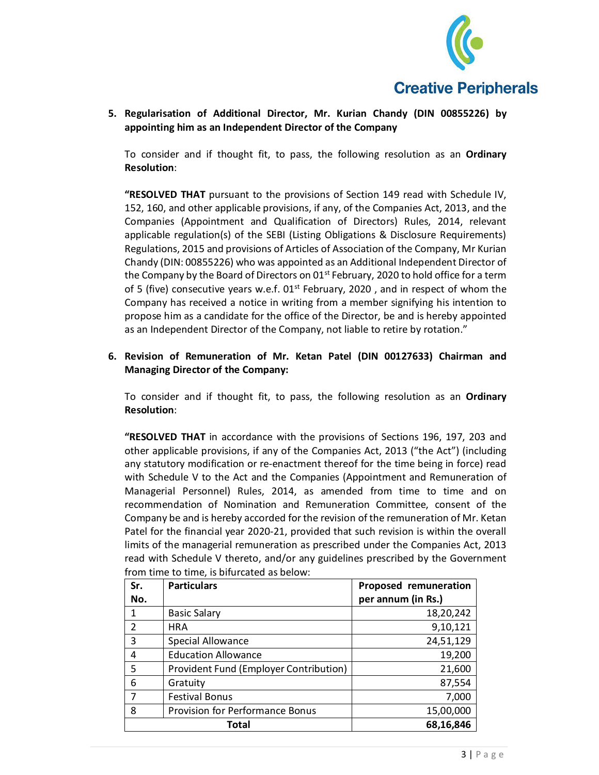

**5. Regularisation of Additional Director, Mr. Kurian Chandy (DIN 00855226) by appointing him as an Independent Director of the Company** 

To consider and if thought fit, to pass, the following resolution as an **Ordinary Resolution**:

**"RESOLVED THAT** pursuant to the provisions of Section 149 read with Schedule IV, 152, 160, and other applicable provisions, if any, of the Companies Act, 2013, and the Companies (Appointment and Qualification of Directors) Rules, 2014, relevant applicable regulation(s) of the SEBI (Listing Obligations & Disclosure Requirements) Regulations, 2015 and provisions of Articles of Association of the Company, Mr Kurian Chandy (DIN: 00855226) who was appointed as an Additional Independent Director of the Company by the Board of Directors on  $01<sup>st</sup>$  February, 2020 to hold office for a term of 5 (five) consecutive years w.e.f.  $01<sup>st</sup>$  February, 2020, and in respect of whom the Company has received a notice in writing from a member signifying his intention to propose him as a candidate for the office of the Director, be and is hereby appointed as an Independent Director of the Company, not liable to retire by rotation."

#### **6. Revision of Remuneration of Mr. Ketan Patel (DIN 00127633) Chairman and Managing Director of the Company:**

To consider and if thought fit, to pass, the following resolution as an **Ordinary Resolution**:

**"RESOLVED THAT** in accordance with the provisions of Sections 196, 197, 203 and other applicable provisions, if any of the Companies Act, 2013 ("the Act") (including any statutory modification or re-enactment thereof for the time being in force) read with Schedule V to the Act and the Companies (Appointment and Remuneration of Managerial Personnel) Rules, 2014, as amended from time to time and on recommendation of Nomination and Remuneration Committee, consent of the Company be and is hereby accorded for the revision of the remuneration of Mr. Ketan Patel for the financial year 2020-21, provided that such revision is within the overall limits of the managerial remuneration as prescribed under the Companies Act, 2013 read with Schedule V thereto, and/or any guidelines prescribed by the Government from time to time, is bifurcated as below:

| Sr. | <b>Particulars</b>                     | Proposed remuneration |
|-----|----------------------------------------|-----------------------|
| No. |                                        | per annum (in Rs.)    |
|     | <b>Basic Salary</b>                    | 18,20,242             |
| 2   | <b>HRA</b>                             | 9,10,121              |
| 3   | Special Allowance                      | 24,51,129             |
| 4   | <b>Education Allowance</b>             | 19,200                |
| 5   | Provident Fund (Employer Contribution) | 21,600                |
| 6   | Gratuity                               | 87,554                |
| 7   | <b>Festival Bonus</b>                  | 7,000                 |
| 8   | Provision for Performance Bonus        | 15,00,000             |
|     | Total                                  | 68,16,846             |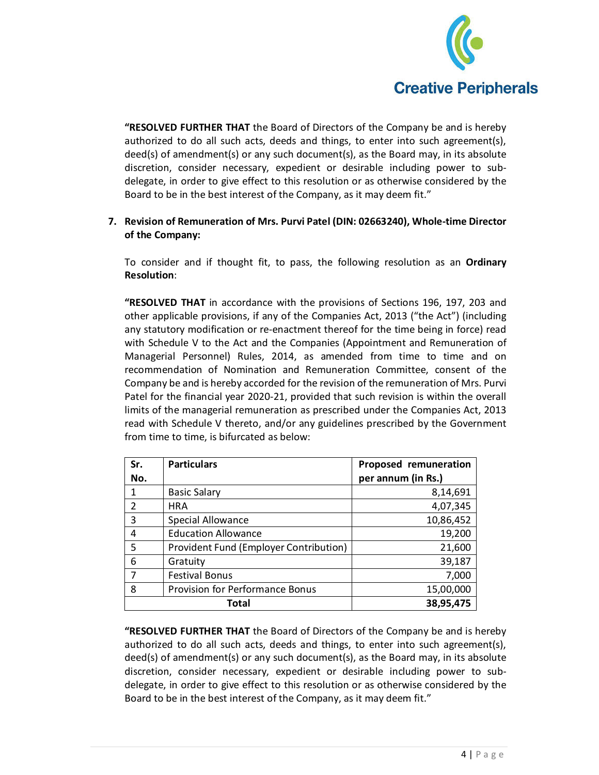

**"RESOLVED FURTHER THAT** the Board of Directors of the Company be and is hereby authorized to do all such acts, deeds and things, to enter into such agreement(s), deed(s) of amendment(s) or any such document(s), as the Board may, in its absolute discretion, consider necessary, expedient or desirable including power to subdelegate, in order to give effect to this resolution or as otherwise considered by the Board to be in the best interest of the Company, as it may deem fit."

#### **7. Revision of Remuneration of Mrs. Purvi Patel (DIN: 02663240), Whole-time Director of the Company:**

To consider and if thought fit, to pass, the following resolution as an **Ordinary Resolution**:

**"RESOLVED THAT** in accordance with the provisions of Sections 196, 197, 203 and other applicable provisions, if any of the Companies Act, 2013 ("the Act") (including any statutory modification or re-enactment thereof for the time being in force) read with Schedule V to the Act and the Companies (Appointment and Remuneration of Managerial Personnel) Rules, 2014, as amended from time to time and on recommendation of Nomination and Remuneration Committee, consent of the Company be and is hereby accorded for the revision of the remuneration of Mrs. Purvi Patel for the financial year 2020-21, provided that such revision is within the overall limits of the managerial remuneration as prescribed under the Companies Act, 2013 read with Schedule V thereto, and/or any guidelines prescribed by the Government from time to time, is bifurcated as below:

| Sr.            | <b>Particulars</b>                     | Proposed remuneration |
|----------------|----------------------------------------|-----------------------|
| No.            |                                        | per annum (in Rs.)    |
| 1              | <b>Basic Salary</b>                    | 8,14,691              |
| $\overline{2}$ | <b>HRA</b>                             | 4,07,345              |
| 3              | <b>Special Allowance</b>               | 10,86,452             |
| 4              | <b>Education Allowance</b>             | 19,200                |
| 5              | Provident Fund (Employer Contribution) | 21,600                |
| 6              | Gratuity                               | 39,187                |
|                | <b>Festival Bonus</b>                  | 7,000                 |
| 8              | <b>Provision for Performance Bonus</b> | 15,00,000             |
|                | Total                                  | 38,95,475             |

**"RESOLVED FURTHER THAT** the Board of Directors of the Company be and is hereby authorized to do all such acts, deeds and things, to enter into such agreement(s), deed(s) of amendment(s) or any such document(s), as the Board may, in its absolute discretion, consider necessary, expedient or desirable including power to subdelegate, in order to give effect to this resolution or as otherwise considered by the Board to be in the best interest of the Company, as it may deem fit."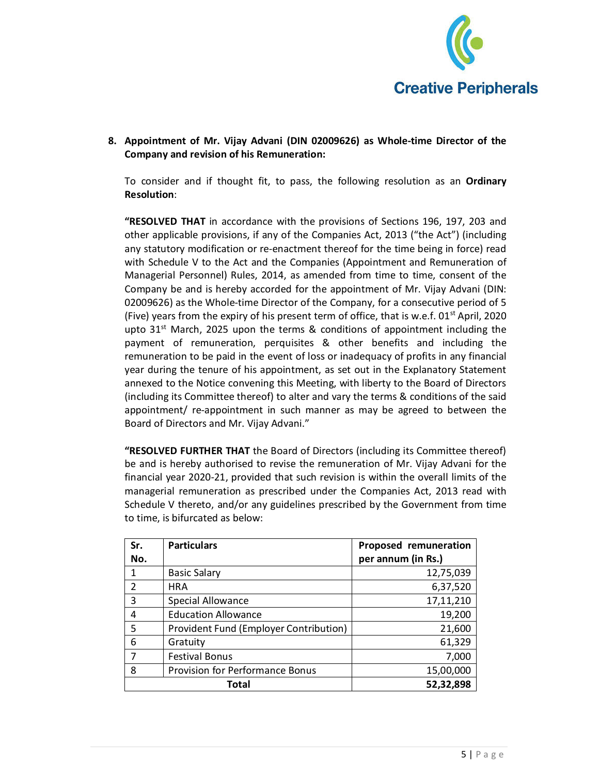

**8. Appointment of Mr. Vijay Advani (DIN 02009626) as Whole-time Director of the Company and revision of his Remuneration:** 

To consider and if thought fit, to pass, the following resolution as an **Ordinary Resolution**:

**"RESOLVED THAT** in accordance with the provisions of Sections 196, 197, 203 and other applicable provisions, if any of the Companies Act, 2013 ("the Act") (including any statutory modification or re-enactment thereof for the time being in force) read with Schedule V to the Act and the Companies (Appointment and Remuneration of Managerial Personnel) Rules, 2014, as amended from time to time, consent of the Company be and is hereby accorded for the appointment of Mr. Vijay Advani (DIN: 02009626) as the Whole-time Director of the Company, for a consecutive period of 5 (Five) years from the expiry of his present term of office, that is w.e.f.  $01^{st}$  April, 2020 upto  $31<sup>st</sup>$  March, 2025 upon the terms & conditions of appointment including the payment of remuneration, perquisites & other benefits and including the remuneration to be paid in the event of loss or inadequacy of profits in any financial year during the tenure of his appointment, as set out in the Explanatory Statement annexed to the Notice convening this Meeting, with liberty to the Board of Directors (including its Committee thereof) to alter and vary the terms & conditions of the said appointment/ re-appointment in such manner as may be agreed to between the Board of Directors and Mr. Vijay Advani."

**"RESOLVED FURTHER THAT** the Board of Directors (including its Committee thereof) be and is hereby authorised to revise the remuneration of Mr. Vijay Advani for the financial year 2020-21, provided that such revision is within the overall limits of the managerial remuneration as prescribed under the Companies Act, 2013 read with Schedule V thereto, and/or any guidelines prescribed by the Government from time to time, is bifurcated as below:

| Sr. | <b>Particulars</b>                     | Proposed remuneration |
|-----|----------------------------------------|-----------------------|
| No. |                                        | per annum (in Rs.)    |
|     | <b>Basic Salary</b>                    | 12,75,039             |
| 2   | <b>HRA</b>                             | 6,37,520              |
| 3   | <b>Special Allowance</b>               | 17,11,210             |
| 4   | <b>Education Allowance</b>             | 19,200                |
| 5   | Provident Fund (Employer Contribution) | 21,600                |
| 6   | Gratuity                               | 61,329                |
|     | <b>Festival Bonus</b>                  | 7,000                 |
| 8   | <b>Provision for Performance Bonus</b> | 15,00,000             |
|     | Total                                  | 52,32,898             |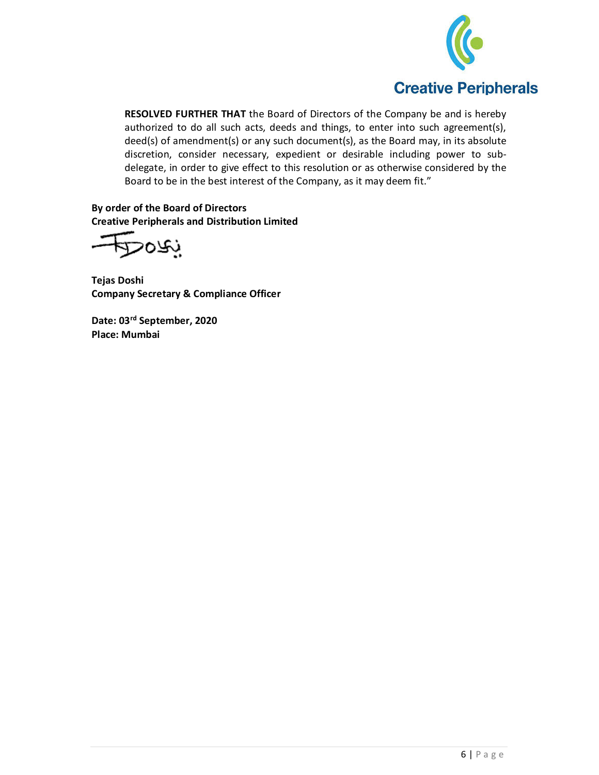

**RESOLVED FURTHER THAT** the Board of Directors of the Company be and is hereby authorized to do all such acts, deeds and things, to enter into such agreement(s), deed(s) of amendment(s) or any such document(s), as the Board may, in its absolute discretion, consider necessary, expedient or desirable including power to subdelegate, in order to give effect to this resolution or as otherwise considered by the Board to be in the best interest of the Company, as it may deem fit."

**By order of the Board of Directors Creative Peripherals and Distribution Limited** 

بحمحا

**Tejas Doshi Company Secretary & Compliance Officer** 

**Date: 03rd September, 2020 Place: Mumbai**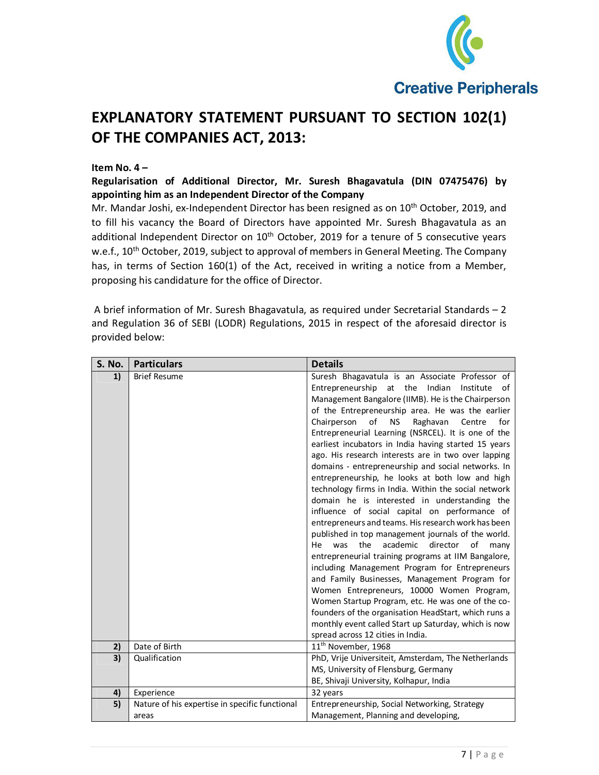

## **EXPLANATORY STATEMENT PURSUANT TO SECTION 102(1) OF THE COMPANIES ACT, 2013:**

#### **Item No. 4 –**

**Regularisation of Additional Director, Mr. Suresh Bhagavatula (DIN 07475476) by appointing him as an Independent Director of the Company** 

Mr. Mandar Joshi, ex-Independent Director has been resigned as on 10<sup>th</sup> October, 2019, and to fill his vacancy the Board of Directors have appointed Mr. Suresh Bhagavatula as an additional Independent Director on 10<sup>th</sup> October, 2019 for a tenure of 5 consecutive years w.e.f., 10<sup>th</sup> October, 2019, subject to approval of members in General Meeting. The Company has, in terms of Section 160(1) of the Act, received in writing a notice from a Member, proposing his candidature for the office of Director.

 A brief information of Mr. Suresh Bhagavatula, as required under Secretarial Standards – 2 and Regulation 36 of SEBI (LODR) Regulations, 2015 in respect of the aforesaid director is provided below:

| S. No. | <b>Particulars</b>                                  | <b>Details</b>                                              |
|--------|-----------------------------------------------------|-------------------------------------------------------------|
| 1)     | <b>Brief Resume</b>                                 | Suresh Bhagavatula is an Associate Professor of             |
|        |                                                     | Entrepreneurship at the Indian<br>Institute<br>of           |
|        |                                                     | Management Bangalore (IIMB). He is the Chairperson          |
|        |                                                     | of the Entrepreneurship area. He was the earlier            |
|        |                                                     | Chairperson<br>of<br>Raghavan<br><b>NS</b><br>Centre<br>for |
|        |                                                     | Entrepreneurial Learning (NSRCEL). It is one of the         |
|        |                                                     | earliest incubators in India having started 15 years        |
|        | ago. His research interests are in two over lapping |                                                             |
|        |                                                     | domains - entrepreneurship and social networks. In          |
|        |                                                     | entrepreneurship, he looks at both low and high             |
|        |                                                     | technology firms in India. Within the social network        |
|        |                                                     | domain he is interested in understanding the                |
|        |                                                     | influence of social capital on performance of               |
|        |                                                     | entrepreneurs and teams. His research work has been         |
|        |                                                     | published in top management journals of the world.          |
|        |                                                     | the<br>academic<br>was<br>director<br>of<br>He<br>many      |
|        |                                                     | entrepreneurial training programs at IIM Bangalore,         |
|        |                                                     | including Management Program for Entrepreneurs              |
|        |                                                     | and Family Businesses, Management Program for               |
|        |                                                     | Women Entrepreneurs, 10000 Women Program,                   |
|        |                                                     | Women Startup Program, etc. He was one of the co-           |
|        |                                                     | founders of the organisation HeadStart, which runs a        |
|        |                                                     | monthly event called Start up Saturday, which is now        |
|        |                                                     | spread across 12 cities in India.                           |
| 2)     | Date of Birth                                       | 11 <sup>th</sup> November, 1968                             |
| 3)     | Qualification                                       | PhD, Vrije Universiteit, Amsterdam, The Netherlands         |
|        |                                                     | MS, University of Flensburg, Germany                        |
|        |                                                     | BE, Shivaji University, Kolhapur, India                     |
| 4)     | Experience                                          | 32 years                                                    |
| 5)     | Nature of his expertise in specific functional      | Entrepreneurship, Social Networking, Strategy               |
|        | areas                                               | Management, Planning and developing,                        |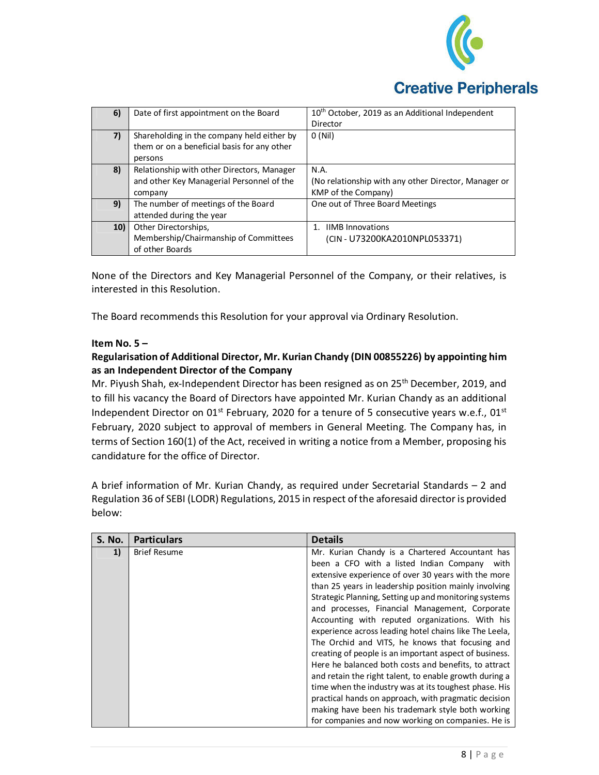

| 6)  | Date of first appointment on the Board      | 10 <sup>th</sup> October, 2019 as an Additional Independent |
|-----|---------------------------------------------|-------------------------------------------------------------|
|     |                                             | Director                                                    |
| 7)  | Shareholding in the company held either by  | 0(Nil)                                                      |
|     | them or on a beneficial basis for any other |                                                             |
|     | persons                                     |                                                             |
| 8)  | Relationship with other Directors, Manager  | N.A.                                                        |
|     | and other Key Managerial Personnel of the   | (No relationship with any other Director, Manager or        |
|     | company                                     | KMP of the Company)                                         |
| 9)  | The number of meetings of the Board         | One out of Three Board Meetings                             |
|     | attended during the year                    |                                                             |
| 10) | Other Directorships,                        | 1. IIMB Innovations                                         |
|     | Membership/Chairmanship of Committees       | (CIN - U73200KA2010NPL053371)                               |
|     | of other Boards                             |                                                             |

None of the Directors and Key Managerial Personnel of the Company, or their relatives, is interested in this Resolution.

The Board recommends this Resolution for your approval via Ordinary Resolution.

#### **Item No. 5 –**

#### **Regularisation of Additional Director, Mr. Kurian Chandy (DIN 00855226) by appointing him as an Independent Director of the Company**

Mr. Piyush Shah, ex-Independent Director has been resigned as on 25<sup>th</sup> December, 2019, and to fill his vacancy the Board of Directors have appointed Mr. Kurian Chandy as an additional Independent Director on 01<sup>st</sup> February, 2020 for a tenure of 5 consecutive years w.e.f., 01<sup>st</sup> February, 2020 subject to approval of members in General Meeting. The Company has, in terms of Section 160(1) of the Act, received in writing a notice from a Member, proposing his candidature for the office of Director.

A brief information of Mr. Kurian Chandy, as required under Secretarial Standards – 2 and Regulation 36 of SEBI (LODR) Regulations, 2015 in respect of the aforesaid director is provided below:

| <b>S. No.</b> | <b>Particulars</b>  | <b>Details</b>                                         |
|---------------|---------------------|--------------------------------------------------------|
| 1)            | <b>Brief Resume</b> | Mr. Kurian Chandy is a Chartered Accountant has        |
|               |                     | been a CFO with a listed Indian Company<br>with        |
|               |                     | extensive experience of over 30 years with the more    |
|               |                     | than 25 years in leadership position mainly involving  |
|               |                     | Strategic Planning, Setting up and monitoring systems  |
|               |                     | and processes, Financial Management, Corporate         |
|               |                     | Accounting with reputed organizations. With his        |
|               |                     | experience across leading hotel chains like The Leela, |
|               |                     | The Orchid and VITS, he knows that focusing and        |
|               |                     | creating of people is an important aspect of business. |
|               |                     | Here he balanced both costs and benefits, to attract   |
|               |                     | and retain the right talent, to enable growth during a |
|               |                     | time when the industry was at its toughest phase. His  |
|               |                     | practical hands on approach, with pragmatic decision   |
|               |                     | making have been his trademark style both working      |
|               |                     | for companies and now working on companies. He is      |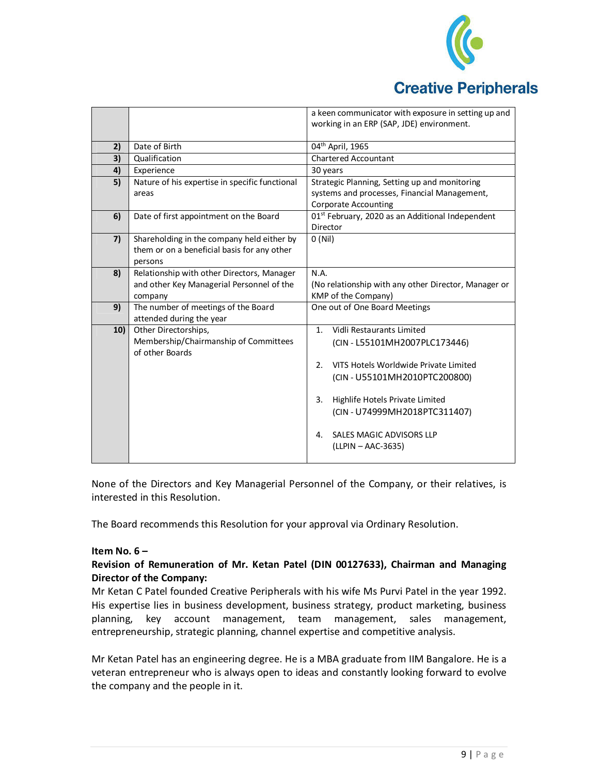

|     |                                                | a keen communicator with exposure in setting up and          |  |
|-----|------------------------------------------------|--------------------------------------------------------------|--|
|     |                                                | working in an ERP (SAP, JDE) environment.                    |  |
|     |                                                |                                                              |  |
| 2)  | Date of Birth                                  | 04 <sup>th</sup> April, 1965                                 |  |
| 3)  | Qualification                                  | <b>Chartered Accountant</b>                                  |  |
| 4)  | Experience                                     | 30 years                                                     |  |
| 5)  | Nature of his expertise in specific functional | Strategic Planning, Setting up and monitoring                |  |
|     | areas                                          | systems and processes, Financial Management,                 |  |
|     |                                                | <b>Corporate Accounting</b>                                  |  |
| 6)  | Date of first appointment on the Board         | 01 <sup>st</sup> February, 2020 as an Additional Independent |  |
|     |                                                | Director                                                     |  |
| 7)  | Shareholding in the company held either by     | O(Nil)                                                       |  |
|     | them or on a beneficial basis for any other    |                                                              |  |
|     | persons                                        |                                                              |  |
| 8)  | Relationship with other Directors, Manager     | N.A.                                                         |  |
|     | and other Key Managerial Personnel of the      | (No relationship with any other Director, Manager or         |  |
|     | company                                        | KMP of the Company)                                          |  |
| 9)  | The number of meetings of the Board            | One out of One Board Meetings                                |  |
|     | attended during the year                       |                                                              |  |
| 10) | Other Directorships,                           | Vidli Restaurants Limited<br>$1_{-}$                         |  |
|     | Membership/Chairmanship of Committees          | (CIN - L55101MH2007PLC173446)                                |  |
|     | of other Boards                                |                                                              |  |
|     |                                                | VITS Hotels Worldwide Private Limited<br>2.                  |  |
|     |                                                | (CIN - U55101MH2010PTC200800)                                |  |
|     |                                                |                                                              |  |
|     |                                                | 3.<br>Highlife Hotels Private Limited                        |  |
|     |                                                | (CIN-U74999MH2018PTC311407)                                  |  |
|     |                                                |                                                              |  |
|     |                                                | SALES MAGIC ADVISORS LLP<br>4.                               |  |
|     |                                                | (LLPIN - AAC-3635)                                           |  |
|     |                                                |                                                              |  |
|     |                                                |                                                              |  |

None of the Directors and Key Managerial Personnel of the Company, or their relatives, is interested in this Resolution.

The Board recommends this Resolution for your approval via Ordinary Resolution.

#### **Item No. 6 –**

#### **Revision of Remuneration of Mr. Ketan Patel (DIN 00127633), Chairman and Managing Director of the Company:**

Mr Ketan C Patel founded Creative Peripherals with his wife Ms Purvi Patel in the year 1992. His expertise lies in business development, business strategy, product marketing, business planning, key account management, team management, sales management, entrepreneurship, strategic planning, channel expertise and competitive analysis.

Mr Ketan Patel has an engineering degree. He is a MBA graduate from IIM Bangalore. He is a veteran entrepreneur who is always open to ideas and constantly looking forward to evolve the company and the people in it.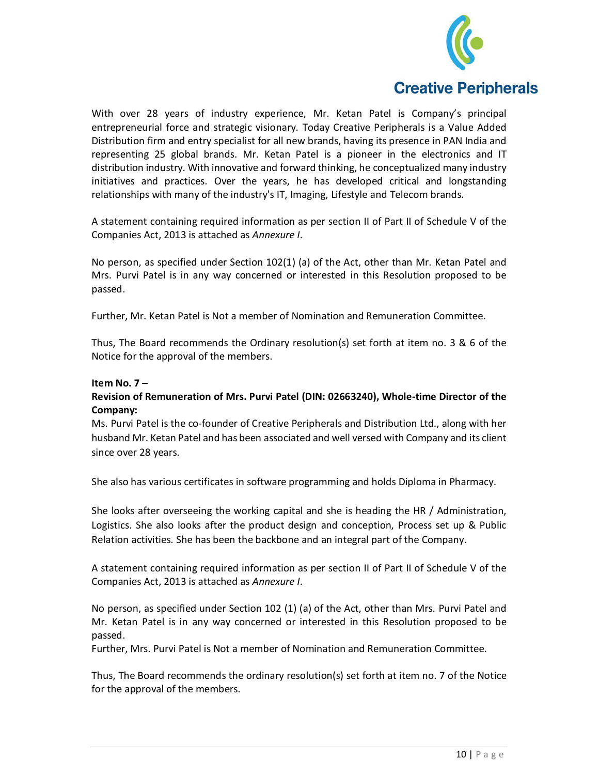

With over 28 years of industry experience, Mr. Ketan Patel is Company's principal entrepreneurial force and strategic visionary. Today Creative Peripherals is a Value Added Distribution firm and entry specialist for all new brands, having its presence in PAN India and representing 25 global brands. Mr. Ketan Patel is a pioneer in the electronics and IT distribution industry. With innovative and forward thinking, he conceptualized many industry initiatives and practices. Over the years, he has developed critical and longstanding relationships with many of the industry's IT, Imaging, Lifestyle and Telecom brands.

A statement containing required information as per section II of Part II of Schedule V of the Companies Act, 2013 is attached as *Annexure I*.

No person, as specified under Section 102(1) (a) of the Act, other than Mr. Ketan Patel and Mrs. Purvi Patel is in any way concerned or interested in this Resolution proposed to be passed.

Further, Mr. Ketan Patel is Not a member of Nomination and Remuneration Committee.

Thus, The Board recommends the Ordinary resolution(s) set forth at item no. 3 & 6 of the Notice for the approval of the members.

#### **Item No. 7 –**

#### **Revision of Remuneration of Mrs. Purvi Patel (DIN: 02663240), Whole-time Director of the Company:**

Ms. Purvi Patel is the co-founder of Creative Peripherals and Distribution Ltd., along with her husband Mr. Ketan Patel and has been associated and well versed with Company and its client since over 28 years.

She also has various certificates in software programming and holds Diploma in Pharmacy.

She looks after overseeing the working capital and she is heading the HR / Administration, Logistics. She also looks after the product design and conception, Process set up & Public Relation activities. She has been the backbone and an integral part of the Company.

A statement containing required information as per section II of Part II of Schedule V of the Companies Act, 2013 is attached as *Annexure I*.

No person, as specified under Section 102 (1) (a) of the Act, other than Mrs. Purvi Patel and Mr. Ketan Patel is in any way concerned or interested in this Resolution proposed to be passed.

Further, Mrs. Purvi Patel is Not a member of Nomination and Remuneration Committee.

Thus, The Board recommends the ordinary resolution(s) set forth at item no. 7 of the Notice for the approval of the members.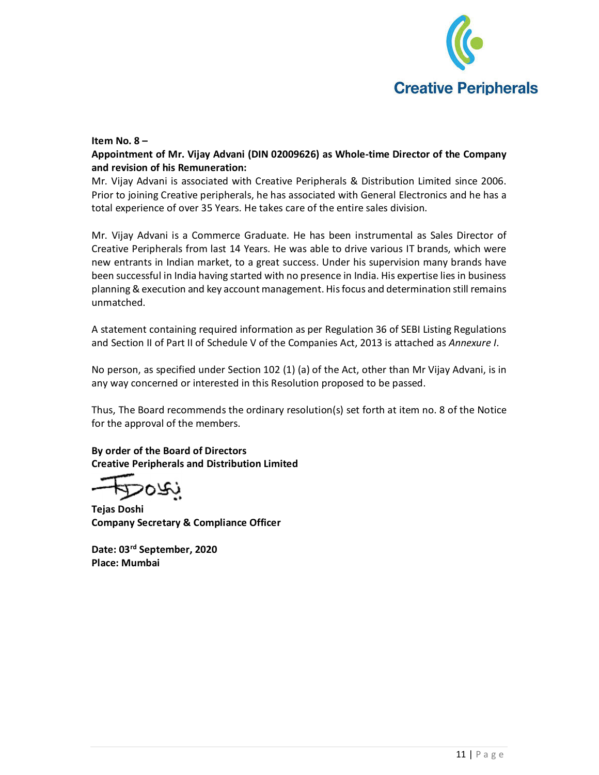

#### **Item No. 8 –**

**Appointment of Mr. Vijay Advani (DIN 02009626) as Whole-time Director of the Company and revision of his Remuneration:** 

Mr. Vijay Advani is associated with Creative Peripherals & Distribution Limited since 2006. Prior to joining Creative peripherals, he has associated with General Electronics and he has a total experience of over 35 Years. He takes care of the entire sales division.

Mr. Vijay Advani is a Commerce Graduate. He has been instrumental as Sales Director of Creative Peripherals from last 14 Years. He was able to drive various IT brands, which were new entrants in Indian market, to a great success. Under his supervision many brands have been successful in India having started with no presence in India. His expertise lies in business planning & execution and key account management. His focus and determination still remains unmatched.

A statement containing required information as per Regulation 36 of SEBI Listing Regulations and Section II of Part II of Schedule V of the Companies Act, 2013 is attached as *Annexure I*.

No person, as specified under Section 102 (1) (a) of the Act, other than Mr Vijay Advani, is in any way concerned or interested in this Resolution proposed to be passed.

Thus, The Board recommends the ordinary resolution(s) set forth at item no. 8 of the Notice for the approval of the members.

**By order of the Board of Directors Creative Peripherals and Distribution Limited** 

**Tejas Doshi Company Secretary & Compliance Officer** 

**Date: 03rd September, 2020 Place: Mumbai**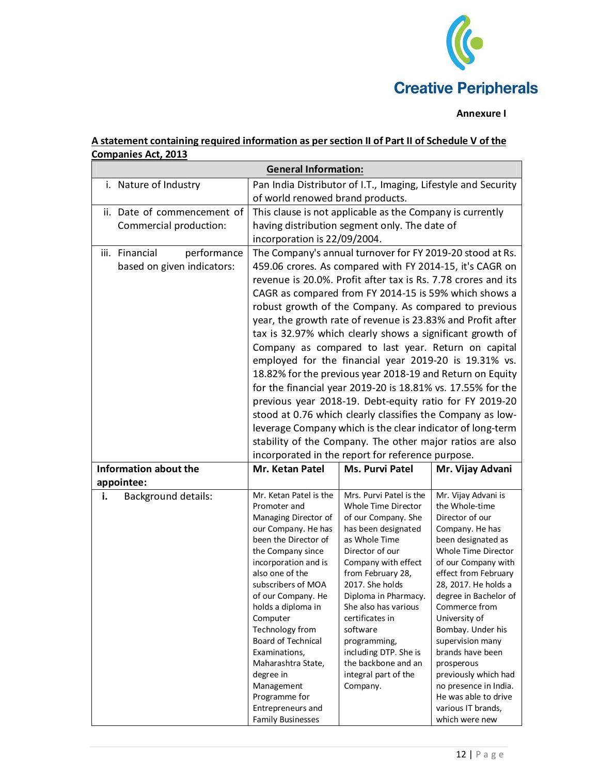

#### **Annexure I**

## **A statement containing required information as per section II of Part II of Schedule V of the Companies Act, 2013**

| <b>General Information:</b>                                 |                                                                                                                                                                                                                                                                                                                                                                                                                                                                                                                                                                                                                                                                                                                                                                                                                                                                                                                                      |                                                                                                                                                                                                                                                                                                                                                                                    |                                                                                                                                                                                                                                                                                                                                                                                                                                                        |
|-------------------------------------------------------------|--------------------------------------------------------------------------------------------------------------------------------------------------------------------------------------------------------------------------------------------------------------------------------------------------------------------------------------------------------------------------------------------------------------------------------------------------------------------------------------------------------------------------------------------------------------------------------------------------------------------------------------------------------------------------------------------------------------------------------------------------------------------------------------------------------------------------------------------------------------------------------------------------------------------------------------|------------------------------------------------------------------------------------------------------------------------------------------------------------------------------------------------------------------------------------------------------------------------------------------------------------------------------------------------------------------------------------|--------------------------------------------------------------------------------------------------------------------------------------------------------------------------------------------------------------------------------------------------------------------------------------------------------------------------------------------------------------------------------------------------------------------------------------------------------|
| i. Nature of Industry                                       | Pan India Distributor of I.T., Imaging, Lifestyle and Security                                                                                                                                                                                                                                                                                                                                                                                                                                                                                                                                                                                                                                                                                                                                                                                                                                                                       |                                                                                                                                                                                                                                                                                                                                                                                    |                                                                                                                                                                                                                                                                                                                                                                                                                                                        |
|                                                             | of world renowed brand products.                                                                                                                                                                                                                                                                                                                                                                                                                                                                                                                                                                                                                                                                                                                                                                                                                                                                                                     |                                                                                                                                                                                                                                                                                                                                                                                    |                                                                                                                                                                                                                                                                                                                                                                                                                                                        |
| ii. Date of commencement of<br>Commercial production:       | This clause is not applicable as the Company is currently<br>having distribution segment only. The date of<br>incorporation is 22/09/2004.                                                                                                                                                                                                                                                                                                                                                                                                                                                                                                                                                                                                                                                                                                                                                                                           |                                                                                                                                                                                                                                                                                                                                                                                    |                                                                                                                                                                                                                                                                                                                                                                                                                                                        |
| iii. Financial<br>performance<br>based on given indicators: | The Company's annual turnover for FY 2019-20 stood at Rs.<br>459.06 crores. As compared with FY 2014-15, it's CAGR on<br>revenue is 20.0%. Profit after tax is Rs. 7.78 crores and its<br>CAGR as compared from FY 2014-15 is 59% which shows a<br>robust growth of the Company. As compared to previous<br>year, the growth rate of revenue is 23.83% and Profit after<br>tax is 32.97% which clearly shows a significant growth of<br>Company as compared to last year. Return on capital<br>employed for the financial year 2019-20 is 19.31% vs.<br>18.82% for the previous year 2018-19 and Return on Equity<br>for the financial year 2019-20 is 18.81% vs. 17.55% for the<br>previous year 2018-19. Debt-equity ratio for FY 2019-20<br>stood at 0.76 which clearly classifies the Company as low-<br>leverage Company which is the clear indicator of long-term<br>stability of the Company. The other major ratios are also |                                                                                                                                                                                                                                                                                                                                                                                    |                                                                                                                                                                                                                                                                                                                                                                                                                                                        |
| Information about the                                       | Mr. Ketan Patel                                                                                                                                                                                                                                                                                                                                                                                                                                                                                                                                                                                                                                                                                                                                                                                                                                                                                                                      | incorporated in the report for reference purpose.<br><b>Ms. Purvi Patel</b>                                                                                                                                                                                                                                                                                                        | Mr. Vijay Advani                                                                                                                                                                                                                                                                                                                                                                                                                                       |
| appointee:                                                  |                                                                                                                                                                                                                                                                                                                                                                                                                                                                                                                                                                                                                                                                                                                                                                                                                                                                                                                                      |                                                                                                                                                                                                                                                                                                                                                                                    |                                                                                                                                                                                                                                                                                                                                                                                                                                                        |
| <b>Background details:</b><br>i.                            | Mr. Ketan Patel is the<br>Promoter and<br>Managing Director of<br>our Company. He has<br>been the Director of<br>the Company since<br>incorporation and is<br>also one of the<br>subscribers of MOA<br>of our Company. He<br>holds a diploma in<br>Computer<br>Technology from<br>Board of Technical<br>Examinations,<br>Maharashtra State,<br>degree in<br>Management<br>Programme for<br>Entrepreneurs and<br><b>Family Businesses</b>                                                                                                                                                                                                                                                                                                                                                                                                                                                                                             | Mrs. Purvi Patel is the<br>Whole Time Director<br>of our Company. She<br>has been designated<br>as Whole Time<br>Director of our<br>Company with effect<br>from February 28,<br>2017. She holds<br>Diploma in Pharmacy.<br>She also has various<br>certificates in<br>software<br>programming,<br>including DTP. She is<br>the backbone and an<br>integral part of the<br>Company. | Mr. Vijay Advani is<br>the Whole-time<br>Director of our<br>Company. He has<br>been designated as<br>Whole Time Director<br>of our Company with<br>effect from February<br>28, 2017. He holds a<br>degree in Bachelor of<br>Commerce from<br>University of<br>Bombay. Under his<br>supervision many<br>brands have been<br>prosperous<br>previously which had<br>no presence in India.<br>He was able to drive<br>various IT brands,<br>which were new |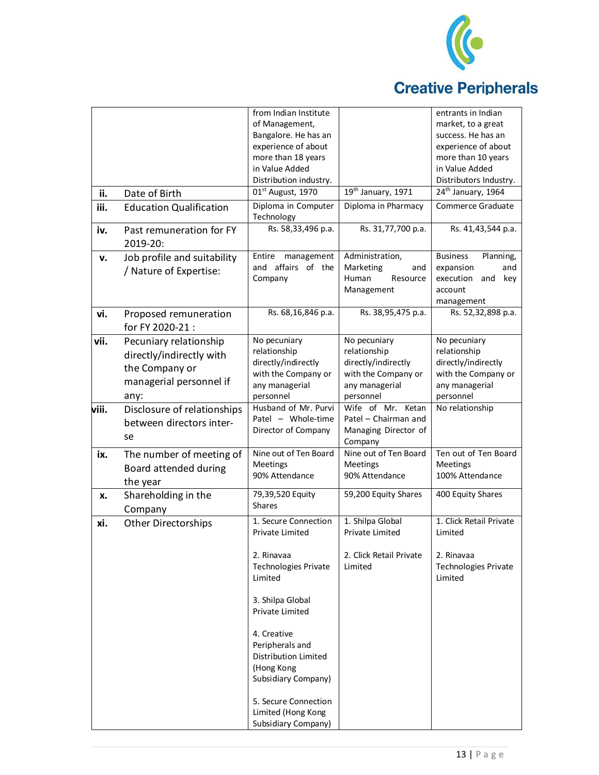

## **Creative Peripherals**

|       |                                                                                                         | from Indian Institute<br>of Management,<br>Bangalore. He has an                                                     |                                                                                                           | entrants in Indian<br>market, to a great<br>success. He has an                                            |
|-------|---------------------------------------------------------------------------------------------------------|---------------------------------------------------------------------------------------------------------------------|-----------------------------------------------------------------------------------------------------------|-----------------------------------------------------------------------------------------------------------|
|       |                                                                                                         | experience of about<br>more than 18 years<br>in Value Added<br>Distribution industry.                               |                                                                                                           | experience of about<br>more than 10 years<br>in Value Added<br>Distributors Industry.                     |
| ii.   | Date of Birth                                                                                           | 01st August, 1970                                                                                                   | 19th January, 1971                                                                                        | 24th January, 1964                                                                                        |
| iii.  | <b>Education Qualification</b>                                                                          | Diploma in Computer                                                                                                 | Diploma in Pharmacy                                                                                       | Commerce Graduate                                                                                         |
|       |                                                                                                         | Technology                                                                                                          |                                                                                                           |                                                                                                           |
| iv.   | Past remuneration for FY<br>2019-20:                                                                    | Rs. 58,33,496 p.a.                                                                                                  | Rs. 31,77,700 p.a.                                                                                        | Rs. 41,43,544 p.a.                                                                                        |
| v.    | Job profile and suitability<br>/ Nature of Expertise:                                                   | management<br>Entire<br>and affairs of the<br>Company                                                               | Administration,<br>Marketing<br>and<br>Human<br>Resource<br>Management                                    | <b>Business</b><br>Planning,<br>expansion<br>and<br>execution<br>and<br>key<br>account<br>management      |
| vi.   | Proposed remuneration<br>for FY 2020-21:                                                                | Rs. 68,16,846 p.a.                                                                                                  | Rs. 38,95,475 p.a.                                                                                        | Rs. 52,32,898 p.a.                                                                                        |
| vii.  | Pecuniary relationship<br>directly/indirectly with<br>the Company or<br>managerial personnel if<br>any: | No pecuniary<br>relationship<br>directly/indirectly<br>with the Company or<br>any managerial<br>personnel           | No pecuniary<br>relationship<br>directly/indirectly<br>with the Company or<br>any managerial<br>personnel | No pecuniary<br>relationship<br>directly/indirectly<br>with the Company or<br>any managerial<br>personnel |
| viii. | Disclosure of relationships<br>between directors inter-<br>se                                           | Husband of Mr. Purvi<br>Patel - Whole-time<br>Director of Company                                                   | Wife of Mr. Ketan<br>Patel - Chairman and<br>Managing Director of<br>Company                              | No relationship                                                                                           |
| ix.   | The number of meeting of<br>Board attended during<br>the year                                           | Nine out of Ten Board<br>Meetings<br>90% Attendance                                                                 | Nine out of Ten Board<br><b>Meetings</b><br>90% Attendance                                                | Ten out of Ten Board<br>Meetings<br>100% Attendance                                                       |
| x.    | Shareholding in the<br>Company                                                                          | 79,39,520 Equity<br>Shares                                                                                          | 59,200 Equity Shares                                                                                      | 400 Equity Shares                                                                                         |
| xi.   | <b>Other Directorships</b>                                                                              | 1. Secure Connection<br>Private Limited                                                                             | 1. Shilpa Global<br>Private Limited                                                                       | 1. Click Retail Private<br>Limited                                                                        |
|       |                                                                                                         | 2. Rinavaa<br><b>Technologies Private</b><br>Limited                                                                | 2. Click Retail Private<br>Limited                                                                        | 2. Rinavaa<br><b>Technologies Private</b><br>Limited                                                      |
|       |                                                                                                         | 3. Shilpa Global<br>Private Limited                                                                                 |                                                                                                           |                                                                                                           |
|       |                                                                                                         | 4. Creative<br>Peripherals and<br>Distribution Limited<br>(Hong Kong<br>Subsidiary Company)<br>5. Secure Connection |                                                                                                           |                                                                                                           |
|       |                                                                                                         | Limited (Hong Kong<br>Subsidiary Company)                                                                           |                                                                                                           |                                                                                                           |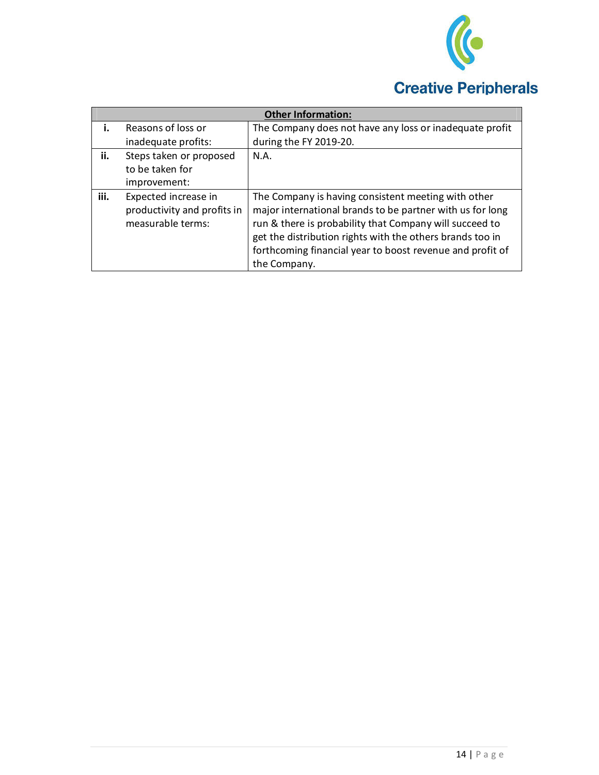

|      |                                                                          | <b>Other Information:</b>                                                                                                                                                                                                                                                                                             |
|------|--------------------------------------------------------------------------|-----------------------------------------------------------------------------------------------------------------------------------------------------------------------------------------------------------------------------------------------------------------------------------------------------------------------|
| i.   | Reasons of loss or                                                       | The Company does not have any loss or inadequate profit                                                                                                                                                                                                                                                               |
|      | inadequate profits:                                                      | during the FY 2019-20.                                                                                                                                                                                                                                                                                                |
| ii.  | Steps taken or proposed<br>to be taken for                               | N.A.                                                                                                                                                                                                                                                                                                                  |
|      | improvement:                                                             |                                                                                                                                                                                                                                                                                                                       |
| iii. | Expected increase in<br>productivity and profits in<br>measurable terms: | The Company is having consistent meeting with other<br>major international brands to be partner with us for long<br>run & there is probability that Company will succeed to<br>get the distribution rights with the others brands too in<br>forthcoming financial year to boost revenue and profit of<br>the Company. |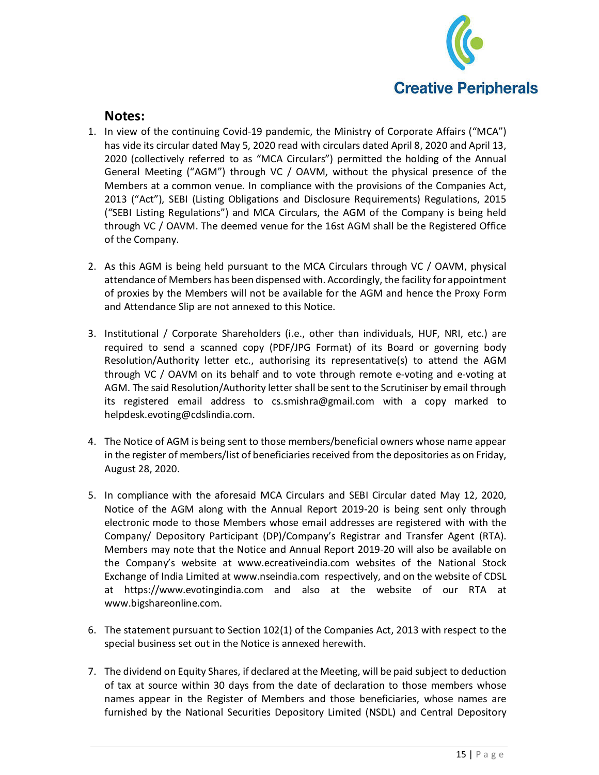

### **Notes:**

- 1. In view of the continuing Covid-19 pandemic, the Ministry of Corporate Affairs ("MCA") has vide its circular dated May 5, 2020 read with circulars dated April 8, 2020 and April 13, 2020 (collectively referred to as "MCA Circulars") permitted the holding of the Annual General Meeting ("AGM") through VC / OAVM, without the physical presence of the Members at a common venue. In compliance with the provisions of the Companies Act, 2013 ("Act"), SEBI (Listing Obligations and Disclosure Requirements) Regulations, 2015 ("SEBI Listing Regulations") and MCA Circulars, the AGM of the Company is being held through VC / OAVM. The deemed venue for the 16st AGM shall be the Registered Office of the Company.
- 2. As this AGM is being held pursuant to the MCA Circulars through VC / OAVM, physical attendance of Members has been dispensed with. Accordingly, the facility for appointment of proxies by the Members will not be available for the AGM and hence the Proxy Form and Attendance Slip are not annexed to this Notice.
- 3. Institutional / Corporate Shareholders (i.e., other than individuals, HUF, NRI, etc.) are required to send a scanned copy (PDF/JPG Format) of its Board or governing body Resolution/Authority letter etc., authorising its representative(s) to attend the AGM through VC / OAVM on its behalf and to vote through remote e-voting and e-voting at AGM. The said Resolution/Authority letter shall be sent to the Scrutiniser by email through its registered email address to cs.smishra@gmail.com with a copy marked to helpdesk.evoting@cdslindia.com.
- 4. The Notice of AGM is being sent to those members/beneficial owners whose name appear in the register of members/list of beneficiaries received from the depositories as on Friday, August 28, 2020.
- 5. In compliance with the aforesaid MCA Circulars and SEBI Circular dated May 12, 2020, Notice of the AGM along with the Annual Report 2019-20 is being sent only through electronic mode to those Members whose email addresses are registered with with the Company/ Depository Participant (DP)/Company's Registrar and Transfer Agent (RTA). Members may note that the Notice and Annual Report 2019-20 will also be available on the Company's website at www.ecreativeindia.com websites of the National Stock Exchange of India Limited at www.nseindia.com respectively, and on the website of CDSL at https://www.evotingindia.com and also at the website of our RTA at www.bigshareonline.com.
- 6. The statement pursuant to Section 102(1) of the Companies Act, 2013 with respect to the special business set out in the Notice is annexed herewith.
- 7. The dividend on Equity Shares, if declared at the Meeting, will be paid subject to deduction of tax at source within 30 days from the date of declaration to those members whose names appear in the Register of Members and those beneficiaries, whose names are furnished by the National Securities Depository Limited (NSDL) and Central Depository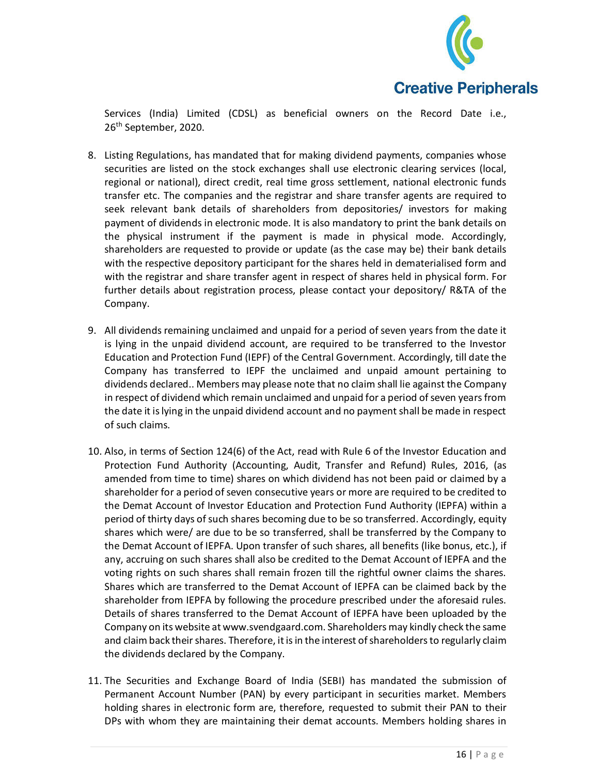

Services (India) Limited (CDSL) as beneficial owners on the Record Date i.e., 26th September, 2020.

- 8. Listing Regulations, has mandated that for making dividend payments, companies whose securities are listed on the stock exchanges shall use electronic clearing services (local, regional or national), direct credit, real time gross settlement, national electronic funds transfer etc. The companies and the registrar and share transfer agents are required to seek relevant bank details of shareholders from depositories/ investors for making payment of dividends in electronic mode. It is also mandatory to print the bank details on the physical instrument if the payment is made in physical mode. Accordingly, shareholders are requested to provide or update (as the case may be) their bank details with the respective depository participant for the shares held in dematerialised form and with the registrar and share transfer agent in respect of shares held in physical form. For further details about registration process, please contact your depository/ R&TA of the Company.
- 9. All dividends remaining unclaimed and unpaid for a period of seven years from the date it is lying in the unpaid dividend account, are required to be transferred to the Investor Education and Protection Fund (IEPF) of the Central Government. Accordingly, till date the Company has transferred to IEPF the unclaimed and unpaid amount pertaining to dividends declared.. Members may please note that no claim shall lie against the Company in respect of dividend which remain unclaimed and unpaid for a period of seven years from the date it is lying in the unpaid dividend account and no payment shall be made in respect of such claims.
- 10. Also, in terms of Section 124(6) of the Act, read with Rule 6 of the Investor Education and Protection Fund Authority (Accounting, Audit, Transfer and Refund) Rules, 2016, (as amended from time to time) shares on which dividend has not been paid or claimed by a shareholder for a period of seven consecutive years or more are required to be credited to the Demat Account of Investor Education and Protection Fund Authority (IEPFA) within a period of thirty days of such shares becoming due to be so transferred. Accordingly, equity shares which were/ are due to be so transferred, shall be transferred by the Company to the Demat Account of IEPFA. Upon transfer of such shares, all benefits (like bonus, etc.), if any, accruing on such shares shall also be credited to the Demat Account of IEPFA and the voting rights on such shares shall remain frozen till the rightful owner claims the shares. Shares which are transferred to the Demat Account of IEPFA can be claimed back by the shareholder from IEPFA by following the procedure prescribed under the aforesaid rules. Details of shares transferred to the Demat Account of IEPFA have been uploaded by the Company on its website at www.svendgaard.com. Shareholders may kindly check the same and claim back their shares. Therefore, it is in the interest of shareholders to regularly claim the dividends declared by the Company.
- 11. The Securities and Exchange Board of India (SEBI) has mandated the submission of Permanent Account Number (PAN) by every participant in securities market. Members holding shares in electronic form are, therefore, requested to submit their PAN to their DPs with whom they are maintaining their demat accounts. Members holding shares in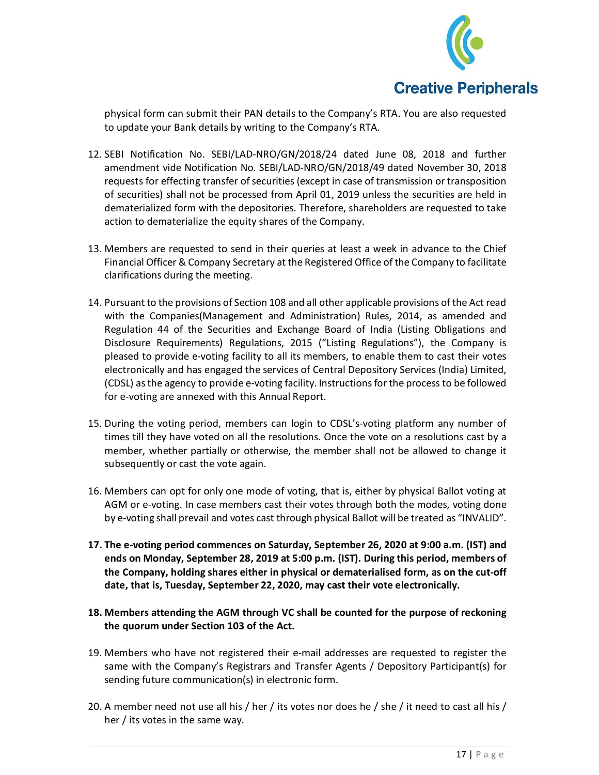

physical form can submit their PAN details to the Company's RTA. You are also requested to update your Bank details by writing to the Company's RTA.

- 12. SEBI Notification No. SEBI/LAD-NRO/GN/2018/24 dated June 08, 2018 and further amendment vide Notification No. SEBI/LAD-NRO/GN/2018/49 dated November 30, 2018 requests for effecting transfer of securities (except in case of transmission or transposition of securities) shall not be processed from April 01, 2019 unless the securities are held in dematerialized form with the depositories. Therefore, shareholders are requested to take action to dematerialize the equity shares of the Company.
- 13. Members are requested to send in their queries at least a week in advance to the Chief Financial Officer & Company Secretary at the Registered Office of the Company to facilitate clarifications during the meeting.
- 14. Pursuant to the provisions of Section 108 and all other applicable provisions of the Act read with the Companies(Management and Administration) Rules, 2014, as amended and Regulation 44 of the Securities and Exchange Board of India (Listing Obligations and Disclosure Requirements) Regulations, 2015 ("Listing Regulations"), the Company is pleased to provide e-voting facility to all its members, to enable them to cast their votes electronically and has engaged the services of Central Depository Services (India) Limited, (CDSL) as the agency to provide e-voting facility. Instructions for the process to be followed for e-voting are annexed with this Annual Report.
- 15. During the voting period, members can login to CDSL's-voting platform any number of times till they have voted on all the resolutions. Once the vote on a resolutions cast by a member, whether partially or otherwise, the member shall not be allowed to change it subsequently or cast the vote again.
- 16. Members can opt for only one mode of voting, that is, either by physical Ballot voting at AGM or e-voting. In case members cast their votes through both the modes, voting done by e-voting shall prevail and votes cast through physical Ballot will be treated as "INVALID".
- **17. The e-voting period commences on Saturday, September 26, 2020 at 9:00 a.m. (IST) and ends on Monday, September 28, 2019 at 5:00 p.m. (IST). During this period, members of the Company, holding shares either in physical or dematerialised form, as on the cut-off date, that is, Tuesday, September 22, 2020, may cast their vote electronically.**
- **18. Members attending the AGM through VC shall be counted for the purpose of reckoning the quorum under Section 103 of the Act.**
- 19. Members who have not registered their e-mail addresses are requested to register the same with the Company's Registrars and Transfer Agents / Depository Participant(s) for sending future communication(s) in electronic form.
- 20. A member need not use all his / her / its votes nor does he / she / it need to cast all his / her / its votes in the same way.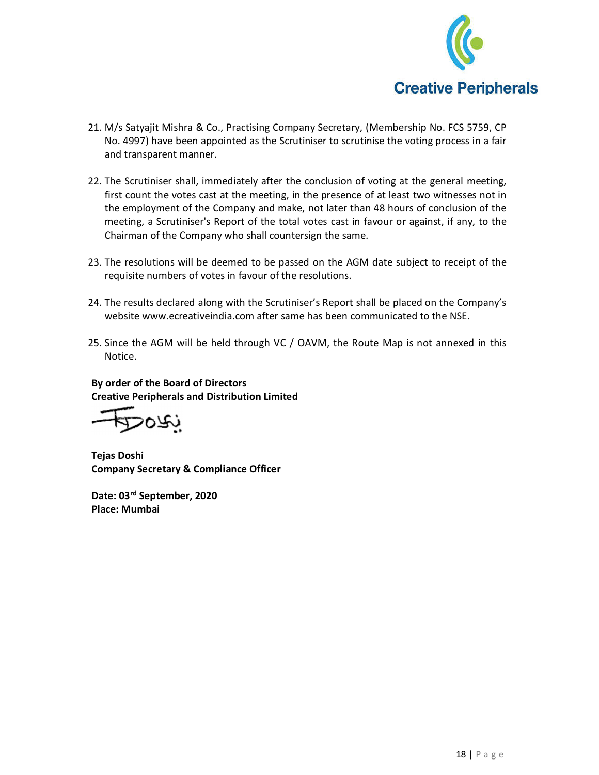

- 21. M/s Satyajit Mishra & Co., Practising Company Secretary, (Membership No. FCS 5759, CP No. 4997) have been appointed as the Scrutiniser to scrutinise the voting process in a fair and transparent manner.
- 22. The Scrutiniser shall, immediately after the conclusion of voting at the general meeting, first count the votes cast at the meeting, in the presence of at least two witnesses not in the employment of the Company and make, not later than 48 hours of conclusion of the meeting, a Scrutiniser's Report of the total votes cast in favour or against, if any, to the Chairman of the Company who shall countersign the same.
- 23. The resolutions will be deemed to be passed on the AGM date subject to receipt of the requisite numbers of votes in favour of the resolutions.
- 24. The results declared along with the Scrutiniser's Report shall be placed on the Company's website www.ecreativeindia.com after same has been communicated to the NSE.
- 25. Since the AGM will be held through VC / OAVM, the Route Map is not annexed in this Notice.

**By order of the Board of Directors Creative Peripherals and Distribution Limited** 

**Tejas Doshi Company Secretary & Compliance Officer** 

**Date: 03rd September, 2020 Place: Mumbai**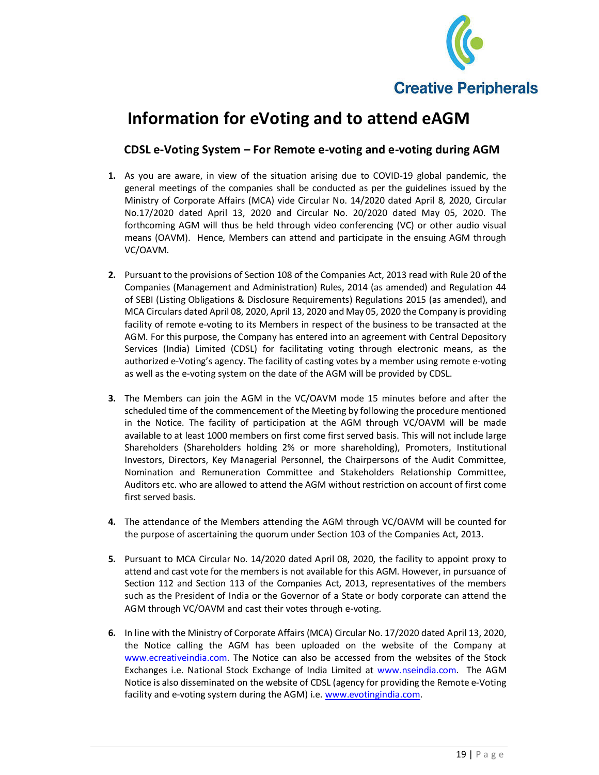

## **Information for eVoting and to attend eAGM**

### **CDSL e-Voting System – For Remote e-voting and e-voting during AGM**

- **1.** As you are aware, in view of the situation arising due to COVID-19 global pandemic, the general meetings of the companies shall be conducted as per the guidelines issued by the Ministry of Corporate Affairs (MCA) vide Circular No. 14/2020 dated April 8, 2020, Circular No.17/2020 dated April 13, 2020 and Circular No. 20/2020 dated May 05, 2020. The forthcoming AGM will thus be held through video conferencing (VC) or other audio visual means (OAVM). Hence, Members can attend and participate in the ensuing AGM through VC/OAVM.
- **2.** Pursuant to the provisions of Section 108 of the Companies Act, 2013 read with Rule 20 of the Companies (Management and Administration) Rules, 2014 (as amended) and Regulation 44 of SEBI (Listing Obligations & Disclosure Requirements) Regulations 2015 (as amended), and MCA Circulars dated April 08, 2020, April 13, 2020 and May 05, 2020 the Company is providing facility of remote e-voting to its Members in respect of the business to be transacted at the AGM. For this purpose, the Company has entered into an agreement with Central Depository Services (India) Limited (CDSL) for facilitating voting through electronic means, as the authorized e-Voting's agency. The facility of casting votes by a member using remote e-voting as well as the e-voting system on the date of the AGM will be provided by CDSL.
- **3.** The Members can join the AGM in the VC/OAVM mode 15 minutes before and after the scheduled time of the commencement of the Meeting by following the procedure mentioned in the Notice. The facility of participation at the AGM through VC/OAVM will be made available to at least 1000 members on first come first served basis. This will not include large Shareholders (Shareholders holding 2% or more shareholding), Promoters, Institutional Investors, Directors, Key Managerial Personnel, the Chairpersons of the Audit Committee, Nomination and Remuneration Committee and Stakeholders Relationship Committee, Auditors etc. who are allowed to attend the AGM without restriction on account of first come first served basis.
- **4.** The attendance of the Members attending the AGM through VC/OAVM will be counted for the purpose of ascertaining the quorum under Section 103 of the Companies Act, 2013.
- **5.** Pursuant to MCA Circular No. 14/2020 dated April 08, 2020, the facility to appoint proxy to attend and cast vote for the members is not available for this AGM. However, in pursuance of Section 112 and Section 113 of the Companies Act, 2013, representatives of the members such as the President of India or the Governor of a State or body corporate can attend the AGM through VC/OAVM and cast their votes through e-voting.
- **6.** In line with the Ministry of Corporate Affairs (MCA) Circular No. 17/2020 dated April 13, 2020, the Notice calling the AGM has been uploaded on the website of the Company at www.ecreativeindia.com. The Notice can also be accessed from the websites of the Stock Exchanges i.e. National Stock Exchange of India Limited at www.nseindia.com. The AGM Notice is also disseminated on the website of CDSL (agency for providing the Remote e-Voting facility and e-voting system during the AGM) i.e. www.evotingindia.com.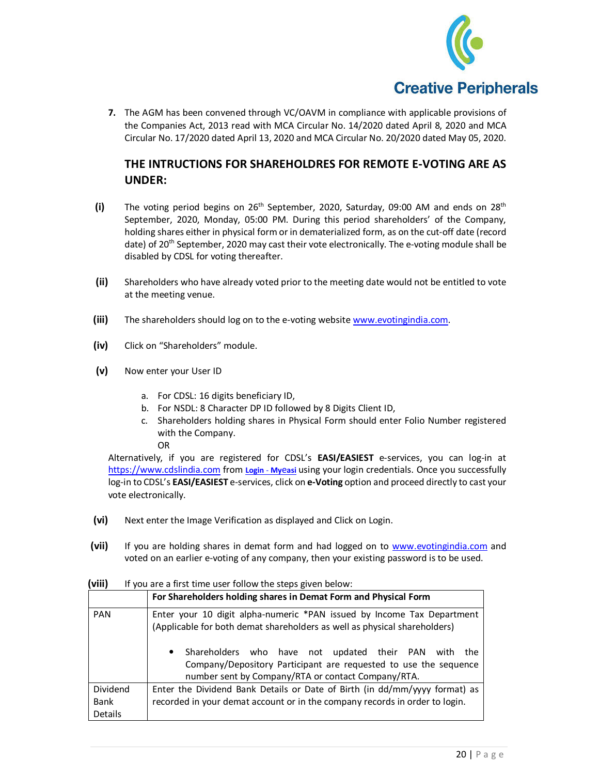

**7.** The AGM has been convened through VC/OAVM in compliance with applicable provisions of the Companies Act, 2013 read with MCA Circular No. 14/2020 dated April 8, 2020 and MCA Circular No. 17/2020 dated April 13, 2020 and MCA Circular No. 20/2020 dated May 05, 2020.

### **THE INTRUCTIONS FOR SHAREHOLDRES FOR REMOTE E-VOTING ARE AS UNDER:**

- **(i)** The voting period begins on 26<sup>th</sup> September, 2020, Saturday, 09:00 AM and ends on 28<sup>th</sup> September, 2020, Monday, 05:00 PM. During this period shareholders' of the Company, holding shares either in physical form or in dematerialized form, as on the cut-off date (record date) of 20<sup>th</sup> September, 2020 may cast their vote electronically. The e-voting module shall be disabled by CDSL for voting thereafter.
- **(ii)** Shareholders who have already voted prior to the meeting date would not be entitled to vote at the meeting venue.
- **(iii)** The shareholders should log on to the e-voting website www.evotingindia.com.
- **(iv)** Click on "Shareholders" module.
- **(v)** Now enter your User ID
	- a. For CDSL: 16 digits beneficiary ID,
	- b. For NSDL: 8 Character DP ID followed by 8 Digits Client ID,
	- c. Shareholders holding shares in Physical Form should enter Folio Number registered with the Company. OR

Alternatively, if you are registered for CDSL's **EASI/EASIEST** e-services, you can log-in at https://www.cdslindia.com from **Login** - **My**e**asi** using your login credentials. Once you successfully log-in to CDSL's **EASI/EASIEST** e-services, click on **e-Voting** option and proceed directly to cast your vote electronically.

- **(vi)** Next enter the Image Verification as displayed and Click on Login.
- **(vii)** If you are holding shares in demat form and had logged on to www.evotingindia.com and voted on an earlier e-voting of any company, then your existing password is to be used.

|                             | For Shareholders holding shares in Demat Form and Physical Form                                                                                                                                                                                                                                                                                       |  |
|-----------------------------|-------------------------------------------------------------------------------------------------------------------------------------------------------------------------------------------------------------------------------------------------------------------------------------------------------------------------------------------------------|--|
| <b>PAN</b>                  | Enter your 10 digit alpha-numeric *PAN issued by Income Tax Department<br>(Applicable for both demat shareholders as well as physical shareholders)<br>Shareholders who have not updated their PAN with<br>$\bullet$<br>the<br>Company/Depository Participant are requested to use the sequence<br>number sent by Company/RTA or contact Company/RTA. |  |
| Dividend<br>Bank<br>Details | Enter the Dividend Bank Details or Date of Birth (in dd/mm/yyyy format) as<br>recorded in your demat account or in the company records in order to login.                                                                                                                                                                                             |  |

**(viii)** If you are a first time user follow the steps given below: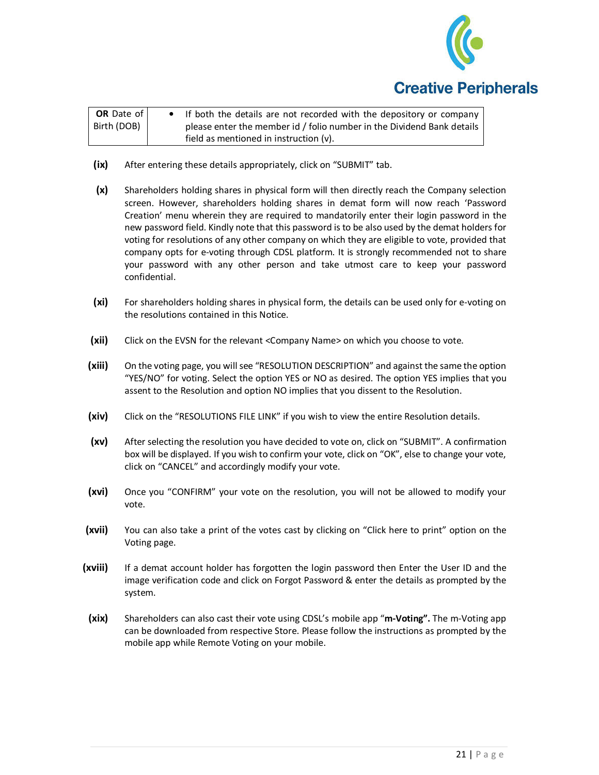

| OR Date of  | • If both the details are not recorded with the depository or company  |  |
|-------------|------------------------------------------------------------------------|--|
| Birth (DOB) | please enter the member id / folio number in the Dividend Bank details |  |
|             | field as mentioned in instruction (v).                                 |  |

- **(ix)** After entering these details appropriately, click on "SUBMIT" tab.
- **(x)** Shareholders holding shares in physical form will then directly reach the Company selection screen. However, shareholders holding shares in demat form will now reach 'Password Creation' menu wherein they are required to mandatorily enter their login password in the new password field. Kindly note that this password is to be also used by the demat holders for voting for resolutions of any other company on which they are eligible to vote, provided that company opts for e-voting through CDSL platform. It is strongly recommended not to share your password with any other person and take utmost care to keep your password confidential.
- **(xi)** For shareholders holding shares in physical form, the details can be used only for e-voting on the resolutions contained in this Notice.
- **(xii)** Click on the EVSN for the relevant <Company Name> on which you choose to vote.
- **(xiii)** On the voting page, you will see "RESOLUTION DESCRIPTION" and against the same the option "YES/NO" for voting. Select the option YES or NO as desired. The option YES implies that you assent to the Resolution and option NO implies that you dissent to the Resolution.
- **(xiv)** Click on the "RESOLUTIONS FILE LINK" if you wish to view the entire Resolution details.
- **(xv)** After selecting the resolution you have decided to vote on, click on "SUBMIT". A confirmation box will be displayed. If you wish to confirm your vote, click on "OK", else to change your vote, click on "CANCEL" and accordingly modify your vote.
- **(xvi)** Once you "CONFIRM" your vote on the resolution, you will not be allowed to modify your vote.
- **(xvii)** You can also take a print of the votes cast by clicking on "Click here to print" option on the Voting page.
- **(xviii)** If a demat account holder has forgotten the login password then Enter the User ID and the image verification code and click on Forgot Password & enter the details as prompted by the system.
	- **(xix)** Shareholders can also cast their vote using CDSL's mobile app "**m-Voting".** The m-Voting app can be downloaded from respective Store. Please follow the instructions as prompted by the mobile app while Remote Voting on your mobile.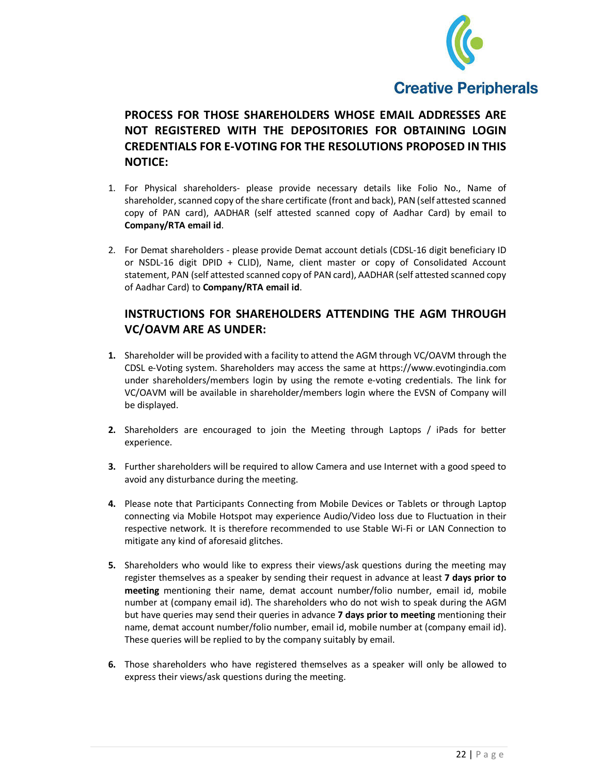

**PROCESS FOR THOSE SHAREHOLDERS WHOSE EMAIL ADDRESSES ARE NOT REGISTERED WITH THE DEPOSITORIES FOR OBTAINING LOGIN CREDENTIALS FOR E-VOTING FOR THE RESOLUTIONS PROPOSED IN THIS NOTICE:** 

- 1. For Physical shareholders- please provide necessary details like Folio No., Name of shareholder, scanned copy of the share certificate (front and back), PAN (self attested scanned copy of PAN card), AADHAR (self attested scanned copy of Aadhar Card) by email to **Company/RTA email id**.
- 2. For Demat shareholders please provide Demat account detials (CDSL-16 digit beneficiary ID or NSDL-16 digit DPID + CLID), Name, client master or copy of Consolidated Account statement, PAN (self attested scanned copy of PAN card), AADHAR (self attested scanned copy of Aadhar Card) to **Company/RTA email id**.

### **INSTRUCTIONS FOR SHAREHOLDERS ATTENDING THE AGM THROUGH VC/OAVM ARE AS UNDER:**

- **1.** Shareholder will be provided with a facility to attend the AGM through VC/OAVM through the CDSL e-Voting system. Shareholders may access the same at https://www.evotingindia.com under shareholders/members login by using the remote e-voting credentials. The link for VC/OAVM will be available in shareholder/members login where the EVSN of Company will be displayed.
- **2.** Shareholders are encouraged to join the Meeting through Laptops / iPads for better experience.
- **3.** Further shareholders will be required to allow Camera and use Internet with a good speed to avoid any disturbance during the meeting.
- **4.** Please note that Participants Connecting from Mobile Devices or Tablets or through Laptop connecting via Mobile Hotspot may experience Audio/Video loss due to Fluctuation in their respective network. It is therefore recommended to use Stable Wi-Fi or LAN Connection to mitigate any kind of aforesaid glitches.
- **5.** Shareholders who would like to express their views/ask questions during the meeting may register themselves as a speaker by sending their request in advance at least **7 days prior to meeting** mentioning their name, demat account number/folio number, email id, mobile number at (company email id). The shareholders who do not wish to speak during the AGM but have queries may send their queries in advance **7 days prior to meeting** mentioning their name, demat account number/folio number, email id, mobile number at (company email id). These queries will be replied to by the company suitably by email.
- **6.** Those shareholders who have registered themselves as a speaker will only be allowed to express their views/ask questions during the meeting.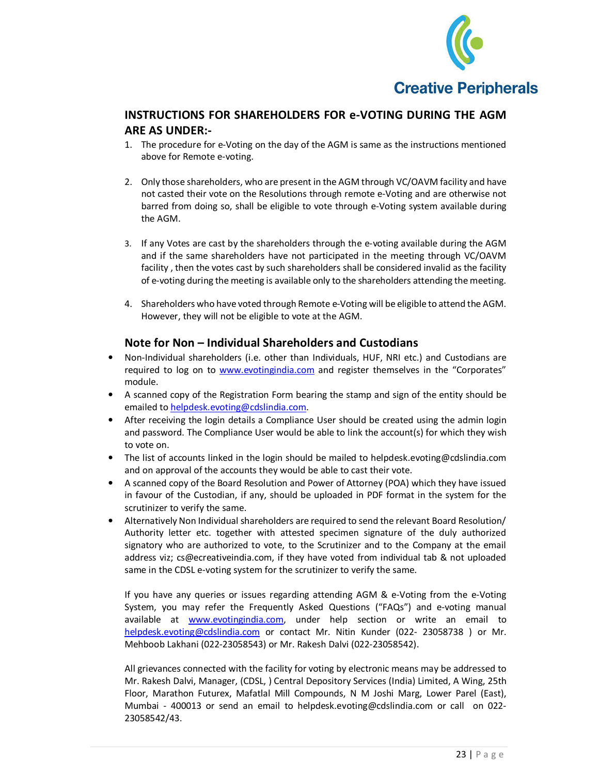

### **INSTRUCTIONS FOR SHAREHOLDERS FOR e-VOTING DURING THE AGM ARE AS UNDER:-**

- 1. The procedure for e-Voting on the day of the AGM is same as the instructions mentioned above for Remote e-voting.
- 2. Only those shareholders, who are present in the AGM through VC/OAVM facility and have not casted their vote on the Resolutions through remote e-Voting and are otherwise not barred from doing so, shall be eligible to vote through e-Voting system available during the AGM.
- 3. If any Votes are cast by the shareholders through the e-voting available during the AGM and if the same shareholders have not participated in the meeting through VC/OAVM facility , then the votes cast by such shareholders shall be considered invalid as the facility of e-voting during the meeting is available only to the shareholders attending the meeting.
- 4. Shareholders who have voted through Remote e-Voting will be eligible to attend the AGM. However, they will not be eligible to vote at the AGM.

#### **Note for Non – Individual Shareholders and Custodians**

- Non-Individual shareholders (i.e. other than Individuals, HUF, NRI etc.) and Custodians are required to log on to www.evotingindia.com and register themselves in the "Corporates" module.
- A scanned copy of the Registration Form bearing the stamp and sign of the entity should be emailed to helpdesk.evoting@cdslindia.com.
- After receiving the login details a Compliance User should be created using the admin login and password. The Compliance User would be able to link the account(s) for which they wish to vote on.
- The list of accounts linked in the login should be mailed to helpdesk.evoting@cdslindia.com and on approval of the accounts they would be able to cast their vote.
- A scanned copy of the Board Resolution and Power of Attorney (POA) which they have issued in favour of the Custodian, if any, should be uploaded in PDF format in the system for the scrutinizer to verify the same.
- Alternatively Non Individual shareholders are required to send the relevant Board Resolution/ Authority letter etc. together with attested specimen signature of the duly authorized signatory who are authorized to vote, to the Scrutinizer and to the Company at the email address viz; cs@ecreativeindia.com, if they have voted from individual tab & not uploaded same in the CDSL e-voting system for the scrutinizer to verify the same.

If you have any queries or issues regarding attending AGM & e-Voting from the e-Voting System, you may refer the Frequently Asked Questions ("FAQs") and e-voting manual available at **www.evotingindia.com**, under help section or write an email to helpdesk.evoting@cdslindia.com or contact Mr. Nitin Kunder (022- 23058738 ) or Mr. Mehboob Lakhani (022-23058543) or Mr. Rakesh Dalvi (022-23058542).

All grievances connected with the facility for voting by electronic means may be addressed to Mr. Rakesh Dalvi, Manager, (CDSL, ) Central Depository Services (India) Limited, A Wing, 25th Floor, Marathon Futurex, Mafatlal Mill Compounds, N M Joshi Marg, Lower Parel (East), Mumbai - 400013 or send an email to helpdesk.evoting@cdslindia.com or call on 022- 23058542/43.